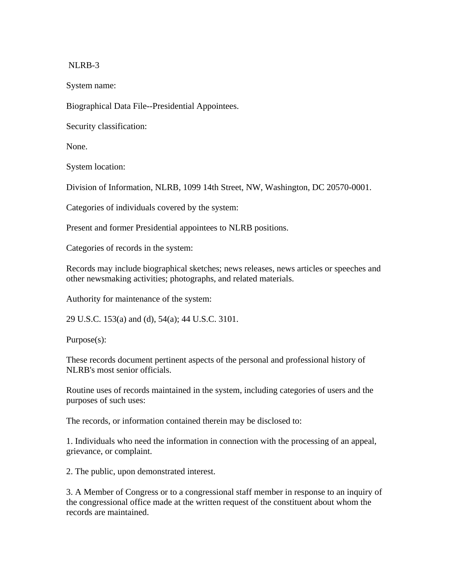## NLRB-3

System name:

Biographical Data File--Presidential Appointees.

Security classification:

None.

System location:

Division of Information, NLRB, 1099 14th Street, NW, Washington, DC 20570-0001.

Categories of individuals covered by the system:

Present and former Presidential appointees to NLRB positions.

Categories of records in the system:

Records may include biographical sketches; news releases, news articles or speeches and other newsmaking activities; photographs, and related materials.

Authority for maintenance of the system:

29 U.S.C. 153(a) and (d), 54(a); 44 U.S.C. 3101.

Purpose(s):

These records document pertinent aspects of the personal and professional history of NLRB's most senior officials.

Routine uses of records maintained in the system, including categories of users and the purposes of such uses:

The records, or information contained therein may be disclosed to:

1. Individuals who need the information in connection with the processing of an appeal, grievance, or complaint.

2. The public, upon demonstrated interest.

3. A Member of Congress or to a congressional staff member in response to an inquiry of the congressional office made at the written request of the constituent about whom the records are maintained.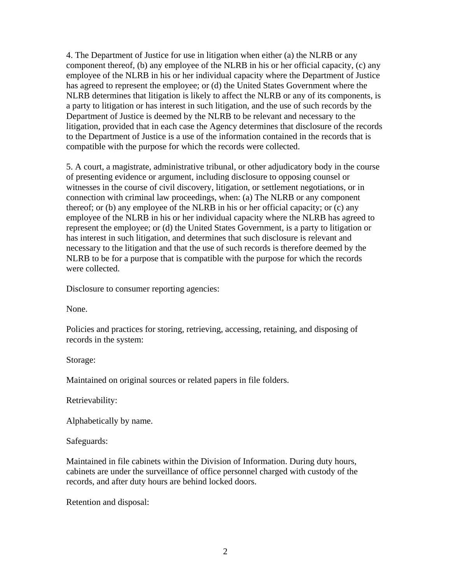4. The Department of Justice for use in litigation when either (a) the NLRB or any component thereof, (b) any employee of the NLRB in his or her official capacity, (c) any employee of the NLRB in his or her individual capacity where the Department of Justice has agreed to represent the employee; or (d) the United States Government where the NLRB determines that litigation is likely to affect the NLRB or any of its components, is a party to litigation or has interest in such litigation, and the use of such records by the Department of Justice is deemed by the NLRB to be relevant and necessary to the litigation, provided that in each case the Agency determines that disclosure of the records to the Department of Justice is a use of the information contained in the records that is compatible with the purpose for which the records were collected.

5. A court, a magistrate, administrative tribunal, or other adjudicatory body in the course of presenting evidence or argument, including disclosure to opposing counsel or witnesses in the course of civil discovery, litigation, or settlement negotiations, or in connection with criminal law proceedings, when: (a) The NLRB or any component thereof; or (b) any employee of the NLRB in his or her official capacity; or (c) any employee of the NLRB in his or her individual capacity where the NLRB has agreed to represent the employee; or (d) the United States Government, is a party to litigation or has interest in such litigation, and determines that such disclosure is relevant and necessary to the litigation and that the use of such records is therefore deemed by the NLRB to be for a purpose that is compatible with the purpose for which the records were collected.

Disclosure to consumer reporting agencies:

None.

Policies and practices for storing, retrieving, accessing, retaining, and disposing of records in the system:

Storage:

Maintained on original sources or related papers in file folders.

Retrievability:

Alphabetically by name.

Safeguards:

Maintained in file cabinets within the Division of Information. During duty hours, cabinets are under the surveillance of office personnel charged with custody of the records, and after duty hours are behind locked doors.

Retention and disposal: